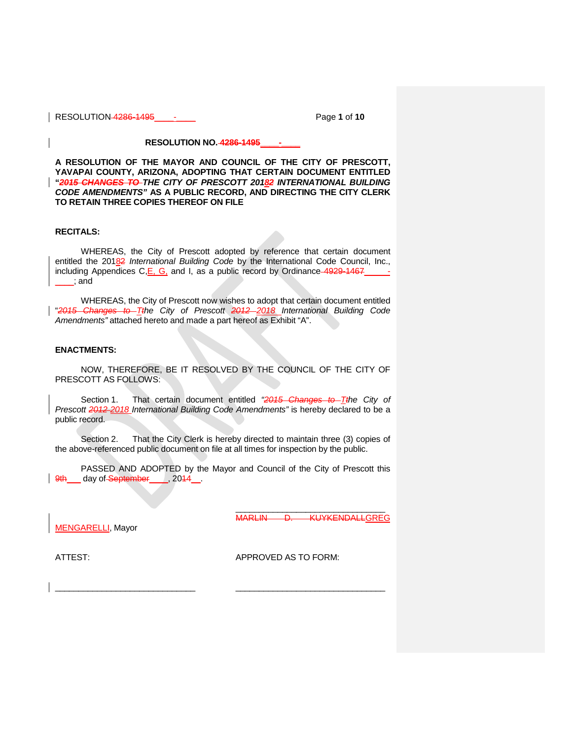RESOLUTION 4286-1495\_\_\_\_-\_\_\_\_ Page **1** of **10**

## **RESOLUTION NO. 4286-1495\_\_\_\_-\_\_\_\_**

**A RESOLUTION OF THE MAYOR AND COUNCIL OF THE CITY OF PRESCOTT, YAVAPAI COUNTY, ARIZONA, ADOPTING THAT CERTAIN DOCUMENT ENTITLED "***2015 CHANGES TO THE CITY OF PRESCOTT 20182 INTERNATIONAL BUILDING CODE AMENDMENTS"* **AS A PUBLIC RECORD, AND DIRECTING THE CITY CLERK TO RETAIN THREE COPIES THEREOF ON FILE**

## **RECITALS:**

WHEREAS, the City of Prescott adopted by reference that certain document entitled the 20182 *International Building Code* by the International Code Council, Inc., including Appendices C,E, G, and I, as a public record by Ordinance 4929-1467 \_\_\_\_; and

WHEREAS, the City of Prescott now wishes to adopt that certain document entitled "*2015 Changes to Tthe City of Prescott 2012 2018 International Building Code Amendments"* attached hereto and made a part hereof as Exhibit "A".

## **ENACTMENTS:**

NOW, THEREFORE, BE IT RESOLVED BY THE COUNCIL OF THE CITY OF PRESCOTT AS FOLLOWS:

Section 1. That certain document entitled *"2015 Changes to Tthe City of Prescott 2012 2018 International Building Code Amendments"* is hereby declared to be a public record.

Section 2. That the City Clerk is hereby directed to maintain three (3) copies of the above-referenced public document on file at all times for inspection by the public.

PASSED AND ADOPTED by the Mayor and Council of the City of Prescott this 9th \_\_\_ day of September \_\_\_\_, 2014 \_\_.

MARLIN D. KUYKENDALLGREG

\_\_\_\_\_\_\_\_\_\_\_\_\_\_\_\_\_\_\_\_\_\_\_\_\_\_\_\_\_\_ \_\_\_\_\_\_\_\_\_\_\_\_\_\_\_\_\_\_\_\_\_\_\_\_\_\_\_\_\_\_\_\_

MENGARELLI, Mayor

ATTEST: APPROVED AS TO FORM:

\_\_\_\_\_\_\_\_\_\_\_\_\_\_\_\_\_\_\_\_\_\_\_\_\_\_\_\_\_\_\_\_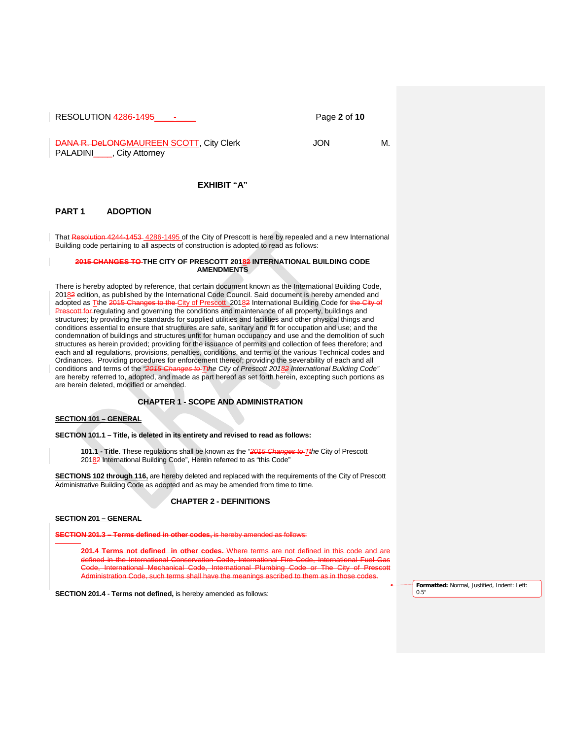RESOLUTION 4286-1495\_\_\_\_-\_\_\_\_ Page **2** of **10**

DANA R. DeLONGMAUREEN SCOTT, City Clerk JON JON M. PALADINI<sub>\_\_\_\_</sub>, City Attorney

## **EXHIBIT "A"**

### **PART 1 ADOPTION**

That Resolution 4244-1453 4286-1495 of the City of Prescott is here by repealed and a new International Building code pertaining to all aspects of construction is adopted to read as follows:

#### **2015 CHANGES TO THE CITY OF PRESCOTT 20182 INTERNATIONAL BUILDING CODE AMENDMENTS**

There is hereby adopted by reference, that certain document known as the International Building Code, 20182 edition, as published by the International Code Council. Said document is hereby amended and adopted as Tthe 2015 Changes to the City of Prescott 20182 International Building Code for the City of Att for regulating and governing the conditions and maintenance of all property, buildings and structures; by providing the standards for supplied utilities and facilities and other physical things and conditions essential to ensure that structures are safe, sanitary and fit for occupation and use; and the condemnation of buildings and structures unfit for human occupancy and use and the demolition of such structures as herein provided; providing for the issuance of permits and collection of fees therefore; and each and all regulations, provisions, penalties, conditions, and terms of the various Technical codes and Ordinances. Providing procedures for enforcement thereof; providing the severability of each and all conditions and terms of the *"2015 Changes to Tthe City of Prescott 20182 International Building Code"* are hereby referred to, adopted, and made as part hereof as set forth herein, excepting such portions as are herein deleted, modified or amended.

## **CHAPTER 1 - SCOPE AND ADMINISTRATION**

### **SECTION 101 – GENERAL**

**SECTION 101.1 – Title, is deleted in its entirety and revised to read as follows:**

**101.1 - Title**. These regulations shall be known as the "*2015 Changes to Tthe* City of Prescott 20182 International Building Code", Herein referred to as "this Code"

**SECTIONS 102 through 116,** are hereby deleted and replaced with the requirements of the City of Prescott Administrative Building Code as adopted and as may be amended from time to time.

## **CHAPTER 2 - DEFINITIONS**

**SECTION 201 – GENERAL**

**SECTION 201.3 – Terms defined in other** 

**Terms not defined in other codes.** Where terms are not defined in this code and a<br>d in the International Conservation Code, International Fire Code, International Fuel C in the International Conservation Code, Code, International Mechanical Code, International Plumbing Code or The City of Prescott istration Code, such terms shall have the meanings ascrib

**SECTION 201.4** - **Terms not defined,** is hereby amended as follows:

**Formatted:** Normal, Justified, Indent: Left: 0.5"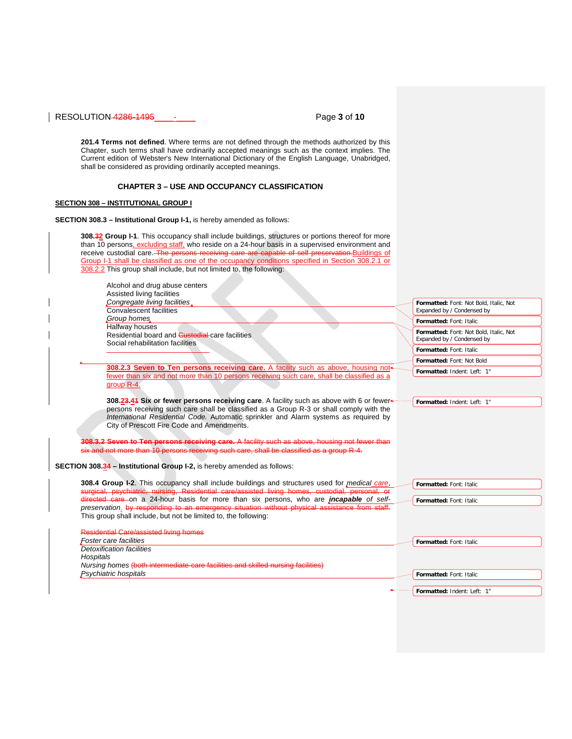RESOLUTION 4286-1495\_\_\_\_-\_\_\_\_ Page **3** of **10**

**201.4 Terms not defined**. Where terms are not defined through the methods authorized by this Chapter, such terms shall have ordinarily accepted meanings such as the context implies. The Current edition of Webster's New International Dictionary of the English Language, Unabridged, shall be considered as providing ordinarily accepted meanings.

## **CHAPTER 3 – USE AND OCCUPANCY CLASSIFICATION**

# **SECTION 308 – INSTITUTIONAL GROUP I**

**SECTION 308.3 – Institutional Group I-1,** is hereby amended as follows:

| receive custodial care. The persons receiving care are capable of self preservation. Buildings of         |                                                                      |
|-----------------------------------------------------------------------------------------------------------|----------------------------------------------------------------------|
| Group I-1 shall be classified as one of the occupancy conditions specified in Section 308.2.1 or          |                                                                      |
| 308.2.2 This group shall include, but not limited to, the following:                                      |                                                                      |
| Alcohol and drug abuse centers                                                                            |                                                                      |
| Assisted living facilities                                                                                |                                                                      |
| Congregate living facilities                                                                              | Formatted: Font: Not Bold, Italic, Not                               |
| Convalescent facilities                                                                                   | Expanded by / Condensed by                                           |
| Group homes                                                                                               | Formatted: Font: Italic                                              |
| Halfway houses                                                                                            |                                                                      |
| Residential board and <b>Gustodial</b> care facilities                                                    | Formatted: Font: Not Bold, Italic, Not<br>Expanded by / Condensed by |
| Social rehabilitation facilities                                                                          |                                                                      |
|                                                                                                           | Formatted: Font: Italic                                              |
|                                                                                                           | Formatted: Font: Not Bold                                            |
| 308.2.3 Seven to Ten persons receiving care. A facility such as above, housing not-                       | Formatted: Indent: Left: 1"                                          |
| fewer than six and not more than 10 persons receiving such care, shall be classified as a                 |                                                                      |
| group R-4.                                                                                                |                                                                      |
| 308.23.44 Six or fewer persons receiving care. A facility such as above with 6 or fewer                   | Formatted: Indent: Left: 1"                                          |
| persons receiving such care shall be classified as a Group R-3 or shall comply with the                   |                                                                      |
| International Residential Code. Automatic sprinkler and Alarm systems as required by                      |                                                                      |
| City of Prescott Fire Code and Amendments.                                                                |                                                                      |
|                                                                                                           |                                                                      |
| 308.3.2 Seven to Ten persons receiving care. A facility such as above, housing not fewer than             |                                                                      |
| six and not more than 10 persons receiving such care, shall be classified as a group R-4.                 |                                                                      |
|                                                                                                           |                                                                      |
| <b>SECTION 308.34 - Institutional Group I-2, is hereby amended as follows:</b>                            |                                                                      |
| 308.4 Group I-2. This occupancy shall include buildings and structures used for <i>medical care</i> ,     |                                                                      |
| surgical, psychiatric, nursing, Residential care/assisted living homes, custodial, personal, or           | Formatted: Font: Italic                                              |
|                                                                                                           | Formatted: Font: Italic                                              |
|                                                                                                           |                                                                      |
| directed care on a 24-hour basis for more than six persons, who are <i>incapable of self-</i>             |                                                                      |
| preservation. by responding to an emergency situation without physical assistance from staff.             |                                                                      |
| This group shall include, but not be limited to, the following:                                           |                                                                      |
| <b>Residential Care/assisted living homes</b>                                                             |                                                                      |
| Foster care facilities                                                                                    | Formatted: Font: Italic                                              |
| <b>Detoxification facilities</b>                                                                          |                                                                      |
| Hospitals                                                                                                 |                                                                      |
| Nursing homes (both intermediate-care facilities and skilled nursing facilities)<br>Psychiatric hospitals |                                                                      |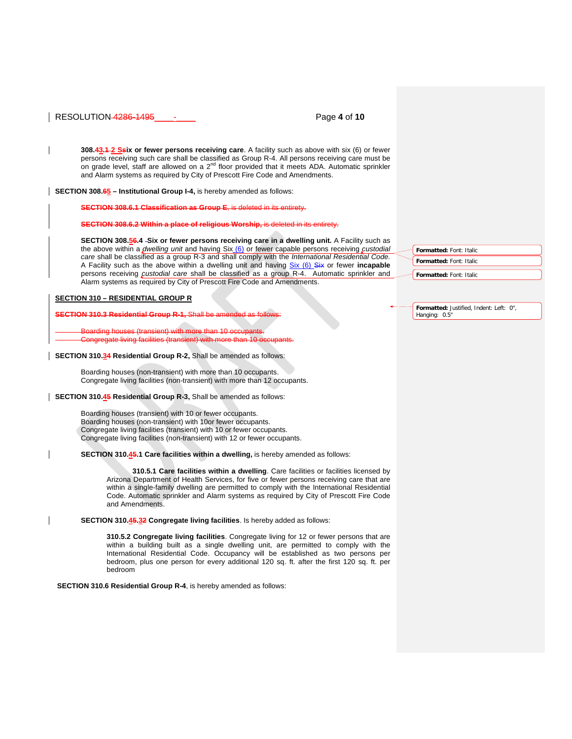### RESOLUTION 4286-1495\_\_\_\_-\_\_\_\_ Page **4** of **10**

**308.43.1 2 Ssix or fewer persons receiving care**. A facility such as above with six (6) or fewer persons receiving such care shall be classified as Group R-4. All persons receiving care must be on grade level, staff are allowed on a 2<sup>nd</sup> floor provided that it meets ADA. Automatic sprinkler and Alarm systems as required by City of Prescott Fire Code and Amendments.

**SECTION 308.65 – Institutional Group I-4,** is hereby amended as follows:

**SECTION 308.6.1 Classification as Group E, is delet** 

**SECTION 308.6.2 Within a place of religious Worship, is deleted in its entirety.** 

**SECTION 308.56.4 -Six or fewer persons receiving care in a dwelling unit.** A Facility such as the above within a *dwelling unit* and having Six (6) or fewer capable persons receiving *custodial care* shall be classified as a group R-3 and shall comply with the *International Residential Code.* A Facility such as the above within a dwelling unit and having Six (6) Six or fewer **incapable** persons receiving *custodial care* shall be classified as a group R-4. Automatic sprinkler and Alarm systems as required by City of Prescott Fire Code and Amendments.

#### **SECTION 310 – RESIDENTIAL GROUP R**

**ECTION 310.3 Residential Group** 

Boarding houses (transient) with more than 10 occupants. Congregate living facilities (transient) with more than 10 or

#### **SECTION 310.34 Residential Group R-2,** Shall be amended as follows:

Boarding houses (non-transient) with more than 10 occupants. Congregate living facilities (non-transient) with more than 12 occupants.

**SECTION 310.45 Residential Group R-3,** Shall be amended as follows:

Boarding houses (transient) with 10 or fewer occupants. Boarding houses (non-transient) with 10or fewer occupants. Congregate living facilities (transient) with 10 or fewer occupants. Congregate living facilities (non-transient) with 12 or fewer occupants.

**SECTION 310.45.1 Care facilities within a dwelling,** is hereby amended as follows:

**310.5.1 Care facilities within a dwelling**. Care facilities or facilities licensed by Arizona Department of Health Services, for five or fewer persons receiving care that are within a single-family dwelling are permitted to comply with the International Residential Code. Automatic sprinkler and Alarm systems as required by City of Prescott Fire Code and Amendments.

#### **SECTION 310.45.32 Congregate living facilities**. Is hereby added as follows:

**310.5.2 Congregate living facilities**. Congregate living for 12 or fewer persons that are within a building built as a single dwelling unit, are permitted to comply with the International Residential Code. Occupancy will be established as two persons per bedroom, plus one person for every additional 120 sq. ft. after the first 120 sq. ft. per bedroom

**SECTION 310.6 Residential Group R-4**, is hereby amended as follows:

**Formatted:** Font: Italic **Formatted:** Font: Italic **Formatted:** Font: Italic

**Formatted:** Justified, Indent: Left: 0", Hanging: 0.5"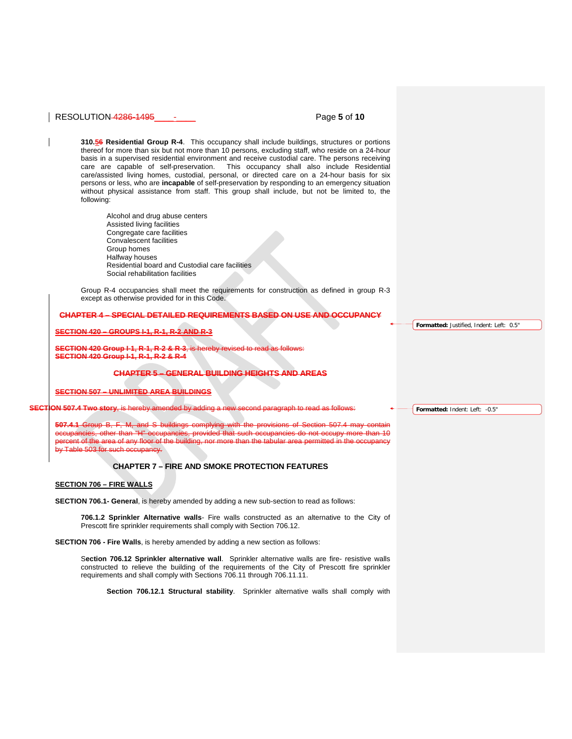## RESOLUTION 4286-1495\_\_\_\_-\_\_\_\_ Page **5** of **10**

**310.56 Residential Group R-4**. This occupancy shall include buildings, structures or portions thereof for more than six but not more than 10 persons, excluding staff, who reside on a 24-hour basis in a supervised residential environment and receive custodial care. The persons receiving care are capable of self-preservation. This occupancy shall also include Residential care/assisted living homes, custodial, personal, or directed care on a 24-hour basis for six persons or less, who are **incapable** of self-preservation by responding to an emergency situation without physical assistance from staff. This group shall include, but not be limited to, the following:

Alcohol and drug abuse centers Assisted living facilities Congregate care facilities Convalescent facilities Group homes Halfway houses Residential board and Custodial care facilities Social rehabilitation facilities

Group R-4 occupancies shall meet the requirements for construction as defined in group R-3 except as otherwise provided for in this Code.

#### **CHAPTER 4 – SPECIAL DETAILED REQUIREMENTS BASED ON USE AND OCCUPANCY**

#### **SECTION 420 – GROUPS I-1, R-1, R-2 AND R-3**

**SCTION 420 Group I-1, R-1, R-2 & R-3, SECTION 420 Group I-1, R-1, R-2 & R-4**

#### **CHAPTER 5 – GENERAL BUILDING HEIGHTS AND AREAS**

**SECTION 507 – UNLIMITED AREA BUILDINGS**

**SECTION 507.4 Two story**, is hereby amended by adding a new second paragraph to read as follows:

**507.4.1** Group B, F, M, and S buildings complying with the provisions of Section 507.4 may contain occupancies, other than "H" occupancies, provided that such occupancies do not occupy more than 10 percent of the area of any floor of the building, nor more than the tabular area permitted in the occupancy by Table 503 for such occupancy.

## **CHAPTER 7 – FIRE AND SMOKE PROTECTION FEATURES**

#### **SECTION 706 – FIRE WALLS**

**SECTION 706.1- General**, is hereby amended by adding a new sub-section to read as follows:

**706.1.2 Sprinkler Alternative walls**- Fire walls constructed as an alternative to the City of Prescott fire sprinkler requirements shall comply with Section 706.12.

**SECTION 706 - Fire Walls**, is hereby amended by adding a new section as follows:

S**ection 706.12 Sprinkler alternative wall**. Sprinkler alternative walls are fire- resistive walls constructed to relieve the building of the requirements of the City of Prescott fire sprinkler requirements and shall comply with Sections 706.11 through 706.11.11.

**Section 706.12.1 Structural stability**. Sprinkler alternative walls shall comply with

**Formatted:** Justified, Indent: Left: 0.5"

**Formatted:** Indent: Left: -0.5"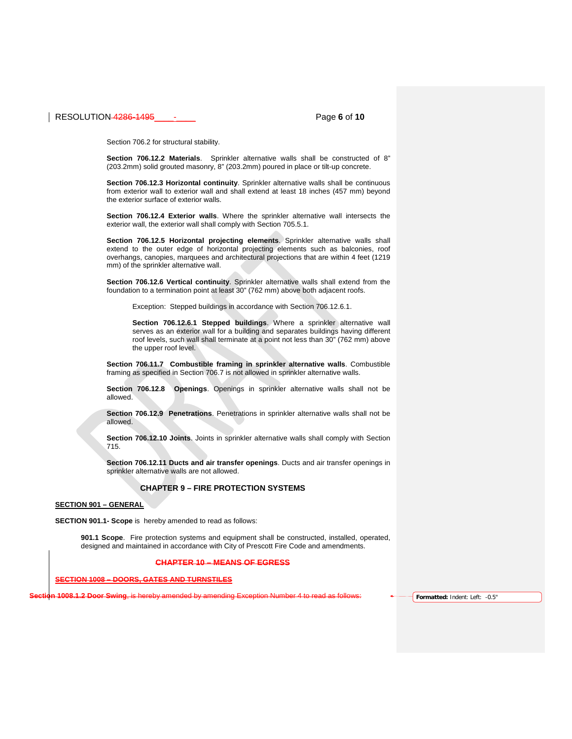## RESOLUTION 4286-1495\_\_\_\_-\_\_\_\_ Page **6** of **10**

Section 706.2 for structural stability.

**Section 706.12.2 Materials**. Sprinkler alternative walls shall be constructed of 8" (203.2mm) solid grouted masonry, 8" (203.2mm) poured in place or tilt-up concrete.

**Section 706.12.3 Horizontal continuity**. Sprinkler alternative walls shall be continuous from exterior wall to exterior wall and shall extend at least 18 inches (457 mm) beyond the exterior surface of exterior walls.

**Section 706.12.4 Exterior walls**. Where the sprinkler alternative wall intersects the exterior wall, the exterior wall shall comply with Section 705.5.1.

**Section 706.12.5 Horizontal projecting elements**. Sprinkler alternative walls shall extend to the outer edge of horizontal projecting elements such as balconies, roof overhangs, canopies, marquees and architectural projections that are within 4 feet (1219 mm) of the sprinkler alternative wall.

**Section 706.12.6 Vertical continuity**. Sprinkler alternative walls shall extend from the foundation to a termination point at least 30" (762 mm) above both adjacent roofs.

Exception: Stepped buildings in accordance with Section 706.12.6.1.

**Section 706.12.6.1 Stepped buildings**. Where a sprinkler alternative wall serves as an exterior wall for a building and separates buildings having different roof levels, such wall shall terminate at a point not less than 30" (762 mm) above the upper roof level.

**Section 706.11.7 Combustible framing in sprinkler alternative walls**. Combustible framing as specified in Section 706.7 is not allowed in sprinkler alternative walls.

**Section 706.12.8 Openings**. Openings in sprinkler alternative walls shall not be allowed.

**Section 706.12.9 Penetrations**. Penetrations in sprinkler alternative walls shall not be allowed.

**Section 706.12.10 Joints**. Joints in sprinkler alternative walls shall comply with Section 715.

**Section 706.12.11 Ducts and air transfer openings**. Ducts and air transfer openings in sprinkler alternative walls are not allowed.

## **CHAPTER 9 – FIRE PROTECTION SYSTEMS**

#### **SECTION 901 – GENERAL**

**SECTION 901.1- Scope** is hereby amended to read as follows:

**901.1 Scope**. Fire protection systems and equipment shall be constructed, installed, operated, designed and maintained in accordance with City of Prescott Fire Code and amendments.

#### **CHAPTER 10 – MEANS OF EGRESS**

**SECTION 1008 – DOORS, GATES AND TURNSTILES**

**Sumended by amending Exception Number 4 to read as follows: <b>Formatted:** Indent: Left: -0.5"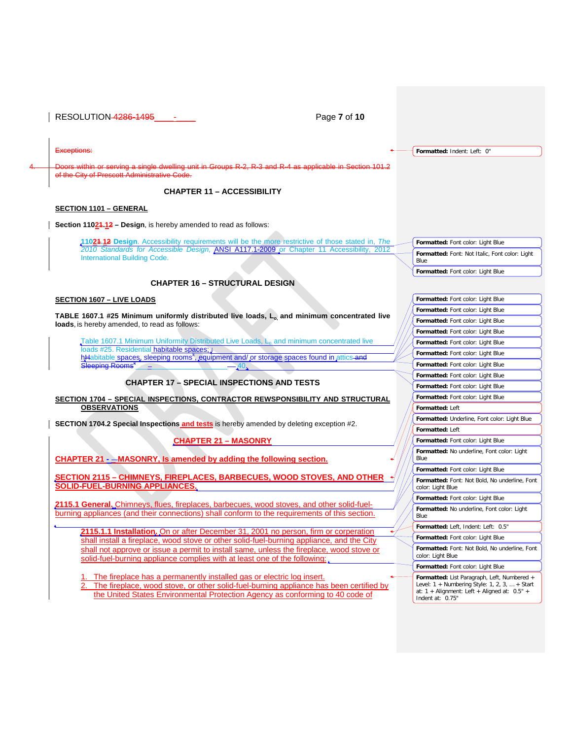RESOLUTION 4286-1495\_\_\_\_-\_\_\_\_ Page **7** of **10** Exceptions: or serving a single dwelling unit in Groups R-2, R-3 and R-4 as applicable in Section 101.2 **City of Prescott Administ CHAPTER 11 – ACCESSIBILITY SECTION 1101 – GENERAL Section 11024.12 - Design, is hereby amended to read as follows: 11021.12 Design**. Accessibility requirements will be the more restrictive of those stated in, *The 2010 Standards for Accessible Design,* ANSI A117.1-2009 or Chapter 11 Accessibility, 2012 International Building Code. **CHAPTER 16 – STRUCTURAL DESIGN SECTION 1607 – LIVE LOADS TABLE 1607.1 #25 Minimum uniformly distributed live loads, Lo, and minimum concentrated live loads**, is hereby amended, to read as follows: Table 1607.1 Minimum Uniformity Distributed Live Loads, L<sub>o</sub>, and minimum concentrated live loads #25. Residential habitable spaces; : hHabitable spaces, sleeping rooms<sup>k</sup>, equipment and/ or storage spaces found in attics and Sleeping Rooms<sup>\*</sup>  $-40.$ **CHAPTER 17 – SPECIAL INSPECTIONS AND TESTS SECTION 1704 – SPECIAL INSPECTIONS, CONTRACTOR REWSPONSIBILITY AND STRUCTURAL OBSERVATIONS SECTION 1704.2 Special Inspections and tests** is hereby amended by deleting exception #2. **CHAPTER 21 – MASONRY CHAPTER 21 - \_ MASONRY, Is amended by adding the following section. SECTION 2115 – CHIMNEYS, FIREPLACES, BARBECUES, WOOD STOVES, AND OTHER SOLID-FUEL-BURNING APPLIANCES. 2115.1 General.** Chimneys, flues, fireplaces, barbecues, wood stoves, and other solid-fuelburning appliances (and their connections) shall conform to the requirements of this section. 2115.1.1 Installation. On or after December 31, 2001 no person, firm or corp shall install a fireplace, wood stove or other solid-fuel-burning appliance, and the City shall not approve or issue a permit to install same, unless the fireplace, wood stove or solid-fuel-burning appliance complies with at least one of the following: The fireplace has a permanently installed gas or electric log insert. The fireplace, wood stove, or other solid-fuel-burning appliance has been certified by the United States Environmental Protection Agency as conforming to 40 code of **Formatted:** Indent: Left: 0" **Formatted:** Font color: Light Blue **Formatted:** Font: Not Italic, Font color: Light Blue **Formatted:** Font color: Light Blue **Formatted:** Font color: Light Blue **Formatted:** Font color: Light Blue **Formatted:** Font color: Light Blue **Formatted:** Font color: Light Blue **Formatted:** Font color: Light Blue **Formatted:** Font color: Light Blue **Formatted:** Font color: Light Blue **Formatted:** Font color: Light Blue **Formatted:** Font color: Light Blue **Formatted:** Font color: Light Blue **Formatted:** Left **Formatted:** Underline, Font color: Light Blue **Formatted:** Left **Formatted:** Font color: Light Blue **Formatted:** No underline, Font color: Light Blue **Formatted:** Font color: Light Blue **Formatted:** Font: Not Bold, No underline, Font color: Light Blue **Formatted:** Font color: Light Blue **Formatted:** No underline, Font color: Light Blue **Formatted:** Left, Indent: Left: 0.5" **Formatted:** Font color: Light Blue **Formatted:** Font: Not Bold, No underline, Font color: Light Blue **Formatted:** Font color: Light Blue **Formatted:** List Paragraph, Left, Numbered + Level: 1 + Numbering Style: 1, 2, 3, … + Start at: 1 + Alignment: Left + Aligned at: 0.5" + Indent at: 0.75"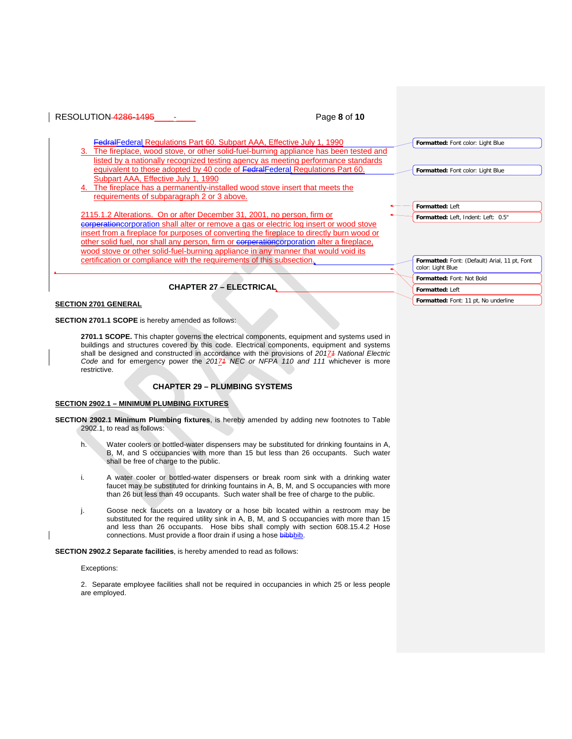

**SECTION 2701.1 SCOPE** is hereby amended as follows:

**2701.1 SCOPE.** This chapter governs the electrical components, equipment and systems used in buildings and structures covered by this code. Electrical components, equipment and systems shall be designed and constructed in accordance with the provisions of *20171 National Electric Code* and for emergency power the *20171 NEC or NFPA 110 and 111* whichever is more restrictive.

## **CHAPTER 29 – PLUMBING SYSTEMS**

#### **SECTION 2902.1 – MINIMUM PLUMBING FIXTURES**

**SECTION 2902.1 Minimum Plumbing fixtures**, is hereby amended by adding new footnotes to Table 2902.1, to read as follows:

- h. Water coolers or bottled-water dispensers may be substituted for drinking fountains in A, B, M, and S occupancies with more than 15 but less than 26 occupants. Such water shall be free of charge to the public.
- i. A water cooler or bottled-water dispensers or break room sink with a drinking water faucet may be substituted for drinking fountains in A, B, M, and S occupancies with more than 26 but less than 49 occupants. Such water shall be free of charge to the public.
- j. Goose neck faucets on a lavatory or a hose bib located within a restroom may be substituted for the required utility sink in A, B, M, and S occupancies with more than 15 and less than 26 occupants. Hose bibs shall comply with section 608.15.4.2 Hose connections. Must provide a floor drain if using a hose bibbbib.

**SECTION 2902.2 Separate facilities**, is hereby amended to read as follows:

### Exceptions:

2. Separate employee facilities shall not be required in occupancies in which 25 or less people are employed.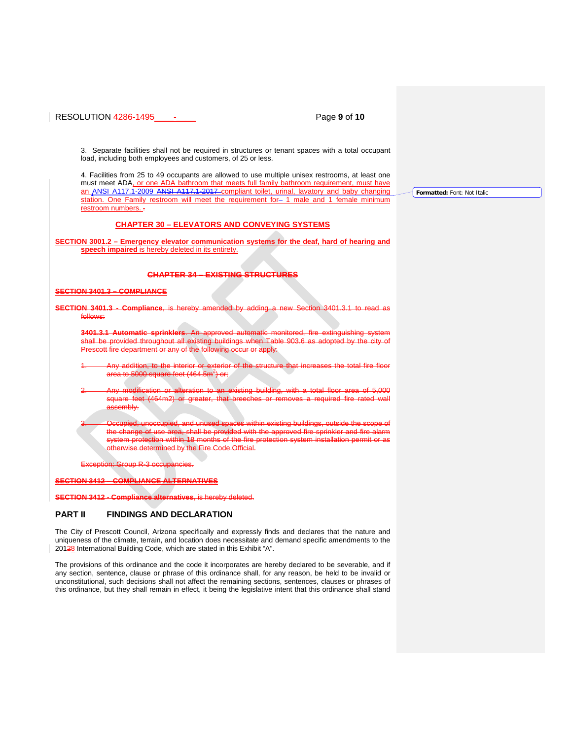## RESOLUTION 4286-1495\_\_\_\_-\_\_\_\_ Page **9** of **10**

3. Separate facilities shall not be required in structures or tenant spaces with a total occupant load, including both employees and customers, of 25 or less.

4. Facilities from 25 to 49 occupants are allowed to use multiple unisex restrooms, at least one must meet ADA, or one ADA bathroom that meets full family bathroom requirement, must have an ANSI A117.1-2009 ANSI A117.1-2017 compliant toilet, urinal, lavatory and baby changing station. One Family restroom will meet the requirement for- 1 male and 1 female minimum restroom numbers. -

## **CHAPTER 30 – ELEVATORS AND CONVEYING SYSTEMS**

**SECTION 3001.2 – Emergency elevator communication systems for the deaf, hard of hearing and speech impaired** is hereby deleted in its entirety.

### **CHAPTER 34 – EXISTING STRUCTURES**

## **SECTION 3401.3 – COMPLIANCE**

**SECTION 3401.3** follows:

**3401.3.1 Automatic sprinklers.**<br>Shall be provided throughout all shall be provided through Prescott fire department or any of the following occur or apply:

to the interior or exterior area to 5000 square feet (464.5m $^2$ ) or;

2. Any modification or alteration to an existing building, with a total floor area of 5,000 square feet (464m2) or greater, that  $\mathsf k$ assembly.

pied, and unused spaces within existing buildings, outside the ea, shall be provided with the approved fire sprinkler and fire alarm 18 months of the fire prote therwise determined by the Fire Code Official.

 $F<sub>2</sub>$  occupation:  $R<sub>2</sub>$  occupation:

#### **SECTION 3412 – COMPLIANCE ALTERNATIVES**

**SECTION 3412 - Compliance alternatives**, is hereby deleted.

## **PART II FINDINGS AND DECLARATION**

The City of Prescott Council, Arizona specifically and expressly finds and declares that the nature and uniqueness of the climate, terrain, and location does necessitate and demand specific amendments to the 20128 International Building Code, which are stated in this Exhibit "A".

The provisions of this ordinance and the code it incorporates are hereby declared to be severable, and if any section, sentence, clause or phrase of this ordinance shall, for any reason, be held to be invalid or unconstitutional, such decisions shall not affect the remaining sections, sentences, clauses or phrases of this ordinance, but they shall remain in effect, it being the legislative intent that this ordinance shall stand

**Formatted:** Font: Not Italic